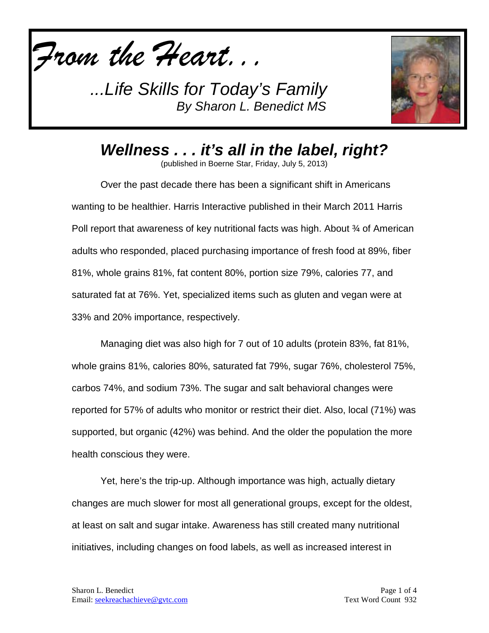*From the Heart...*

*...Life Skills for Today's Family By Sharon L. Benedict MS*



*Wellness . . . it's all in the label, right?*

(published in Boerne Star, Friday, July 5, 2013)

Over the past decade there has been a significant shift in Americans wanting to be healthier. Harris Interactive published in their March 2011 Harris Poll report that awareness of key nutritional facts was high. About ¾ of American adults who responded, placed purchasing importance of fresh food at 89%, fiber 81%, whole grains 81%, fat content 80%, portion size 79%, calories 77, and saturated fat at 76%. Yet, specialized items such as gluten and vegan were at 33% and 20% importance, respectively.

Managing diet was also high for 7 out of 10 adults (protein 83%, fat 81%, whole grains 81%, calories 80%, saturated fat 79%, sugar 76%, cholesterol 75%, carbos 74%, and sodium 73%. The sugar and salt behavioral changes were reported for 57% of adults who monitor or restrict their diet. Also, local (71%) was supported, but organic (42%) was behind. And the older the population the more health conscious they were.

Yet, here's the trip-up. Although importance was high, actually dietary changes are much slower for most all generational groups, except for the oldest, at least on salt and sugar intake. Awareness has still created many nutritional initiatives, including changes on food labels, as well as increased interest in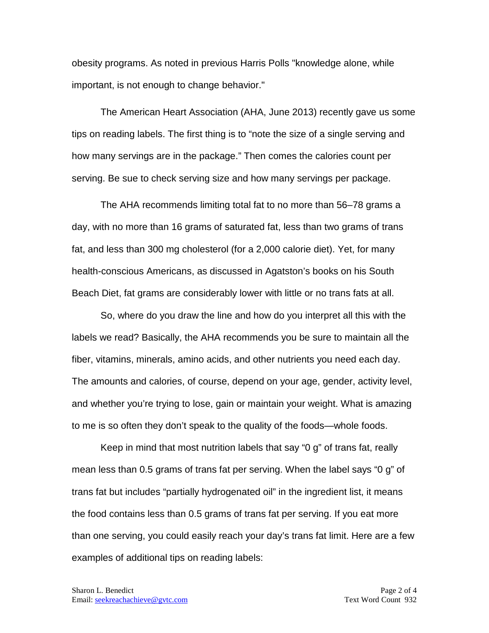obesity programs. As noted in previous Harris Polls "knowledge alone, while important, is not enough to change behavior."

The American Heart Association (AHA, June 2013) recently gave us some tips on reading labels. The first thing is to "note the size of a single serving and how many servings are in the package." Then comes the calories count per serving. Be sue to check serving size and how many servings per package.

The AHA recommends limiting total fat to no more than 56–78 grams a day, with no more than 16 grams of saturated fat, less than two grams of trans fat, and less than 300 mg cholesterol (for a 2,000 calorie diet). Yet, for many health-conscious Americans, as discussed in Agatston's books on his South Beach Diet, fat grams are considerably lower with little or no trans fats at all.

So, where do you draw the line and how do you interpret all this with the labels we read? Basically, the AHA recommends you be sure to maintain all the fiber, vitamins, minerals, amino acids, and other nutrients you need each day. The amounts and calories, of course, depend on your age, gender, activity level, and whether you're trying to lose, gain or maintain your weight. What is amazing to me is so often they don't speak to the quality of the foods—whole foods.

Keep in mind that most nutrition labels that say "0 g" of trans fat, really mean less than 0.5 grams of trans fat per serving. When the label says "0 g" of trans fat but includes "partially hydrogenated oil" in the ingredient list, it means the food contains less than 0.5 grams of trans fat per serving. If you eat more than one serving, you could easily reach your day's trans fat limit. Here are a few examples of additional tips on reading labels: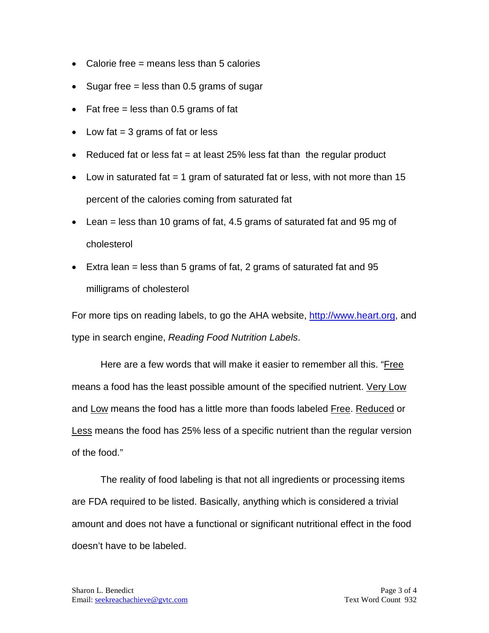- Calorie free  $=$  means less than 5 calories
- Sugar free  $=$  less than 0.5 grams of sugar
- Fat free  $=$  less than 0.5 grams of fat
- Low fat  $= 3$  grams of fat or less
- Reduced fat or less fat  $=$  at least 25% less fat than the regular product
- Low in saturated fat  $= 1$  gram of saturated fat or less, with not more than 15 percent of the calories coming from saturated fat
- Lean = less than 10 grams of fat, 4.5 grams of saturated fat and 95 mg of cholesterol
- Extra lean  $=$  less than 5 grams of fat, 2 grams of saturated fat and 95 milligrams of cholesterol

For more tips on reading labels, to go the AHA website, [http://www.heart.org,](http://www.heart.org/) and type in search engine, *Reading Food Nutrition Labels*.

Here are a few words that will make it easier to remember all this. "Free means a food has the least possible amount of the specified nutrient. Very Low and Low means the food has a little more than foods labeled Free. Reduced or Less means the food has 25% less of a specific nutrient than the regular version of the food."

The reality of food labeling is that not all ingredients or processing items are FDA required to be listed. Basically, anything which is considered a trivial amount and does not have a functional or significant nutritional effect in the food doesn't have to be labeled.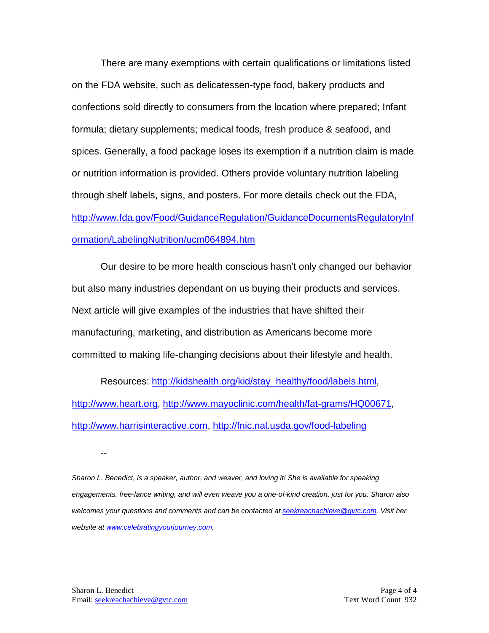There are many exemptions with certain qualifications or limitations listed on the FDA website, such as delicatessen-type food, bakery products and confections sold directly to consumers from the location where prepared; Infant formula; dietary supplements; medical foods, fresh produce & seafood, and spices. Generally, a food package loses its exemption if a nutrition claim is made or nutrition information is provided. Others provide voluntary nutrition labeling through shelf labels, signs, and posters. For more details check out the FDA, [http://www.fda.gov/Food/GuidanceRegulation/GuidanceDocumentsRegulatoryInf](http://www.fda.gov/Food/GuidanceRegulation/GuidanceDocumentsRegulatoryInformation/LabelingNutrition/ucm064894.htm) [ormation/LabelingNutrition/ucm064894.htm](http://www.fda.gov/Food/GuidanceRegulation/GuidanceDocumentsRegulatoryInformation/LabelingNutrition/ucm064894.htm)

Our desire to be more health conscious hasn't only changed our behavior but also many industries dependant on us buying their products and services. Next article will give examples of the industries that have shifted their manufacturing, marketing, and distribution as Americans become more committed to making life-changing decisions about their lifestyle and health.

Resources: [http://kidshealth.org/kid/stay\\_healthy/food/labels.html,](http://kidshealth.org/kid/stay_healthy/food/labels.html) [http://www.heart.org,](http://www.heart.org/) [http://www.mayoclinic.com/health/fat-grams/HQ00671,](http://www.mayoclinic.com/health/fat-grams/HQ00671) [http://www.harrisinteractive.com,](http://www.harrisinteractive.com/)<http://fnic.nal.usda.gov/food-labeling>

--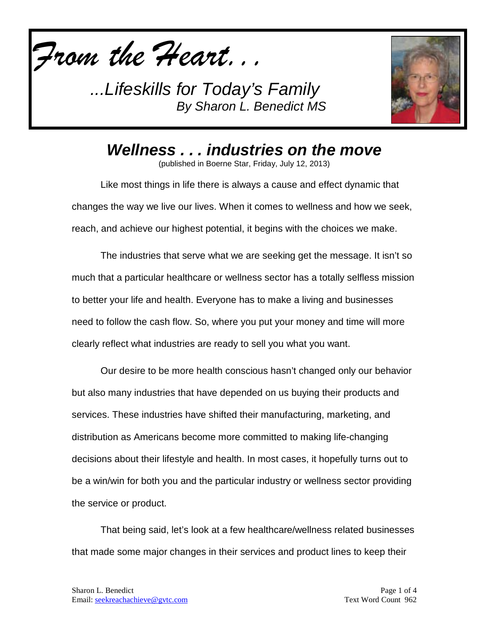

*...Lifeskills for Today's Family By Sharon L. Benedict MS*



*Wellness . . . industries on the move*

(published in Boerne Star, Friday, July 12, 2013)

Like most things in life there is always a cause and effect dynamic that changes the way we live our lives. When it comes to wellness and how we seek, reach, and achieve our highest potential, it begins with the choices we make.

The industries that serve what we are seeking get the message. It isn't so much that a particular healthcare or wellness sector has a totally selfless mission to better your life and health. Everyone has to make a living and businesses need to follow the cash flow. So, where you put your money and time will more clearly reflect what industries are ready to sell you what you want.

Our desire to be more health conscious hasn't changed only our behavior but also many industries that have depended on us buying their products and services. These industries have shifted their manufacturing, marketing, and distribution as Americans become more committed to making life-changing decisions about their lifestyle and health. In most cases, it hopefully turns out to be a win/win for both you and the particular industry or wellness sector providing the service or product.

That being said, let's look at a few healthcare/wellness related businesses that made some major changes in their services and product lines to keep their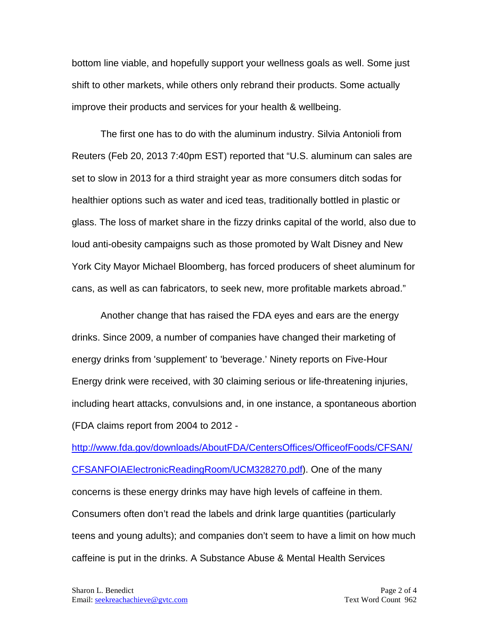bottom line viable, and hopefully support your wellness goals as well. Some just shift to other markets, while others only rebrand their products. Some actually improve their products and services for your health & wellbeing.

The first one has to do with the aluminum industry. Silvia Antonioli from Reuters (Feb 20, 2013 7:40pm EST) reported that "U.S. aluminum can sales are set to slow in 2013 for a third straight year as more consumers ditch sodas for healthier options such as water and iced teas, traditionally bottled in plastic or glass. The loss of market share in the fizzy drinks capital of the world, also due to loud anti-obesity campaigns such as those promoted by Walt Disney and New York City Mayor Michael Bloomberg, has forced producers of sheet aluminum for cans, as well as can fabricators, to seek new, more profitable markets abroad."

Another change that has raised the FDA eyes and ears are the energy drinks. Since 2009, a number of companies have changed their marketing of energy drinks from 'supplement' to 'beverage.' Ninety reports on Five-Hour Energy drink were received, with 30 claiming serious or life-threatening injuries, including heart attacks, convulsions and, in one instance, a spontaneous abortion (FDA claims report from 2004 to 2012 -

[http://www.fda.gov/downloads/AboutFDA/CentersOffices/OfficeofFoods/CFSAN/](http://www.fda.gov/downloads/AboutFDA/CentersOffices/OfficeofFoods/CFSAN/CFSANFOIAElectronicReadingRoom/UCM328270.pdf) [CFSANFOIAElectronicReadingRoom/UCM328270.pdf\)](http://www.fda.gov/downloads/AboutFDA/CentersOffices/OfficeofFoods/CFSAN/CFSANFOIAElectronicReadingRoom/UCM328270.pdf). One of the many concerns is these energy drinks may have high levels of caffeine in them. Consumers often don't read the labels and drink large quantities (particularly teens and young adults); and companies don't seem to have a limit on how much caffeine is put in the drinks. A Substance Abuse & Mental Health Services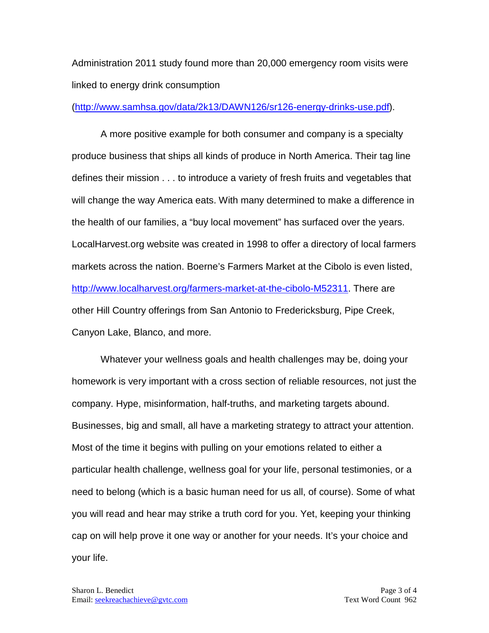Administration 2011 study found more than 20,000 emergency room visits were linked to energy drink consumption

[\(http://www.samhsa.gov/data/2k13/DAWN126/sr126-energy-drinks-use.pdf\)](http://www.samhsa.gov/data/2k13/DAWN126/sr126-energy-drinks-use.pdf).

A more positive example for both consumer and company is a specialty produce business that ships all kinds of produce in North America. Their tag line defines their mission . . . to introduce a variety of fresh fruits and vegetables that will change the way America eats. With many determined to make a difference in the health of our families, a "buy local movement" has surfaced over the years. LocalHarvest.org website was created in 1998 to offer a directory of local farmers markets across the nation. Boerne's Farmers Market at the Cibolo is even listed, http://www.localharvest.org/farmers-market-at-the-cibolo-M52311</u>. There are other Hill Country offerings from San Antonio to Fredericksburg, Pipe Creek, Canyon Lake, Blanco, and more.

Whatever your wellness goals and health challenges may be, doing your homework is very important with a cross section of reliable resources, not just the company. Hype, misinformation, half-truths, and marketing targets abound. Businesses, big and small, all have a marketing strategy to attract your attention. Most of the time it begins with pulling on your emotions related to either a particular health challenge, wellness goal for your life, personal testimonies, or a need to belong (which is a basic human need for us all, of course). Some of what you will read and hear may strike a truth cord for you. Yet, keeping your thinking cap on will help prove it one way or another for your needs. It's your choice and your life.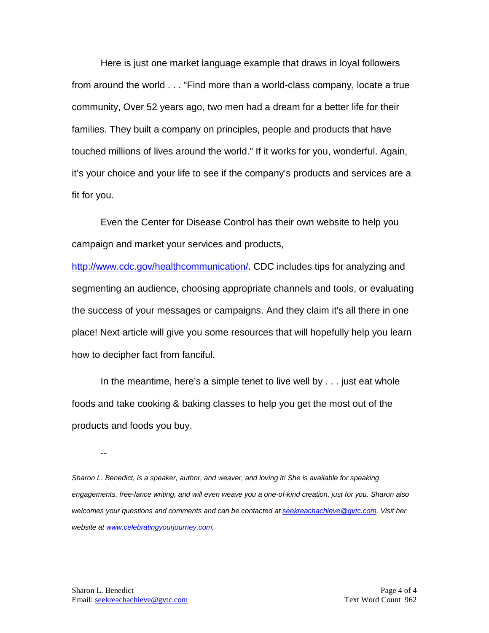Here is just one market language example that draws in loyal followers from around the world . . . "Find more than a world-class company, locate a true community, Over 52 years ago, two men had a dream for a better life for their families. They built a company on principles, people and products that have touched millions of lives around the world." If it works for you, wonderful. Again, it's your choice and your life to see if the company's products and services are a fit for you.

Even the Center for Disease Control has their own website to help you campaign and market your services and products,

[http://www.cdc.gov/healthcommunication/.](http://www.cdc.gov/healthcommunication/) CDC includes tips for analyzing and segmenting an audience, choosing appropriate channels and tools, or evaluating the success of your messages or campaigns. And they claim it's all there in one place! Next article will give you some resources that will hopefully help you learn how to decipher fact from fanciful.

In the meantime, here's a simple tenet to live well by . . . just eat whole foods and take cooking & baking classes to help you get the most out of the products and foods you buy.

--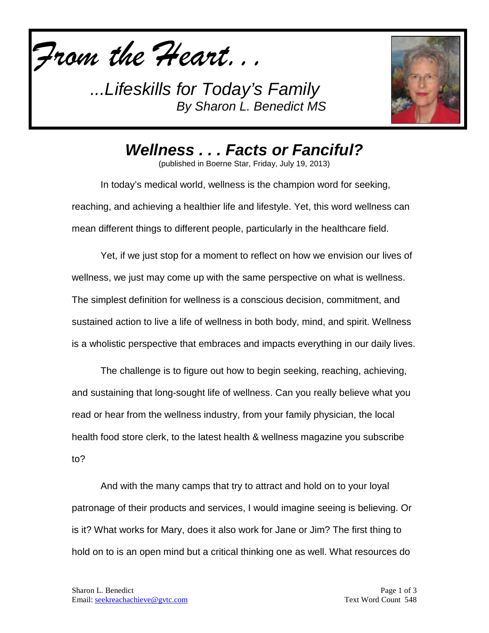

*...Lifeskills for Today's Family By Sharon L. Benedict MS*



*Wellness . . . Facts or Fanciful?*

(published in Boerne Star, Friday, July 19, 2013)

In today's medical world, wellness is the champion word for seeking, reaching, and achieving a healthier life and lifestyle. Yet, this word wellness can mean different things to different people, particularly in the healthcare field.

Yet, if we just stop for a moment to reflect on how we envision our lives of wellness, we just may come up with the same perspective on what is wellness. The simplest definition for wellness is a conscious decision, commitment, and sustained action to live a life of wellness in both body, mind, and spirit. Wellness is a wholistic perspective that embraces and impacts everything in our daily lives.

The challenge is to figure out how to begin seeking, reaching, achieving, and sustaining that long-sought life of wellness. Can you really believe what you read or hear from the wellness industry, from your family physician, the local health food store clerk, to the latest health & wellness magazine you subscribe to?

And with the many camps that try to attract and hold on to your loyal patronage of their products and services, I would imagine seeing is believing. Or is it? What works for Mary, does it also work for Jane or Jim? The first thing to hold on to is an open mind but a critical thinking one as well. What resources do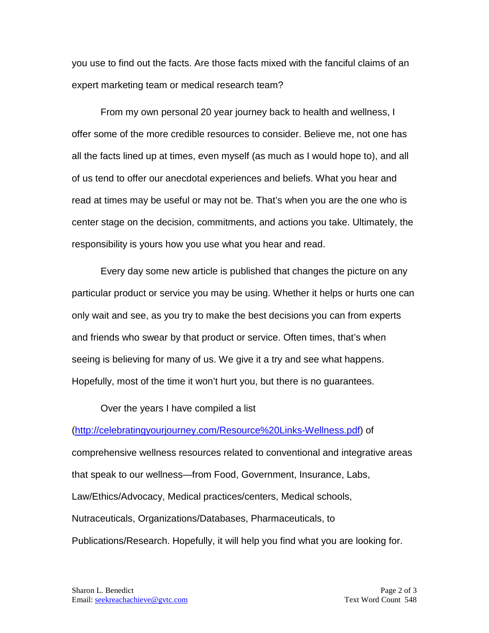you use to find out the facts. Are those facts mixed with the fanciful claims of an expert marketing team or medical research team?

From my own personal 20 year journey back to health and wellness, I offer some of the more credible resources to consider. Believe me, not one has all the facts lined up at times, even myself (as much as I would hope to), and all of us tend to offer our anecdotal experiences and beliefs. What you hear and read at times may be useful or may not be. That's when you are the one who is center stage on the decision, commitments, and actions you take. Ultimately, the responsibility is yours how you use what you hear and read.

Every day some new article is published that changes the picture on any particular product or service you may be using. Whether it helps or hurts one can only wait and see, as you try to make the best decisions you can from experts and friends who swear by that product or service. Often times, that's when seeing is believing for many of us. We give it a try and see what happens. Hopefully, most of the time it won't hurt you, but there is no guarantees.

Over the years I have compiled a list

[\(http://celebratingyourjourney.com/Resource%20Links-Wellness.pdf\)](http://celebratingyourjourney.com/Resource%20Links-Wellness.pdf) of comprehensive wellness resources related to conventional and integrative areas that speak to our wellness—from Food, Government, Insurance, Labs, Law/Ethics/Advocacy, Medical practices/centers, Medical schools, Nutraceuticals, Organizations/Databases, Pharmaceuticals, to Publications/Research. Hopefully, it will help you find what you are looking for.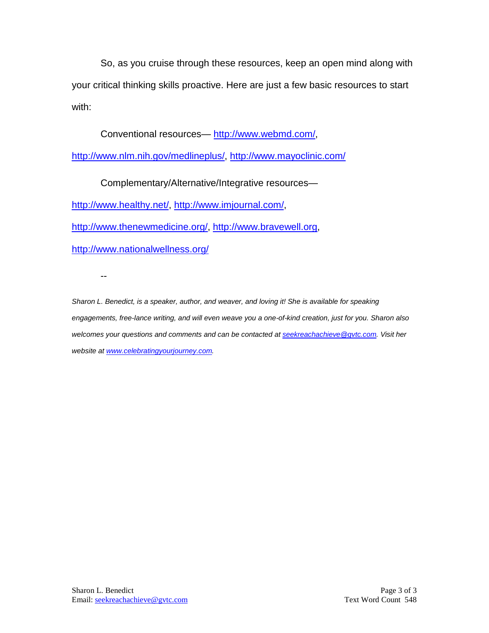So, as you cruise through these resources, keep an open mind along with your critical thinking skills proactive. Here are just a few basic resources to start with:

Conventional resources— [http://www.webmd.com/,](http://www.webmd.com/)

[http://www.nlm.nih.gov/medlineplus/,](http://www.nlm.nih.gov/medlineplus/)<http://www.mayoclinic.com/>

Complementary/Alternative/Integrative resources—

[http://www.healthy.net/,](http://www.healthy.net/) [http://www.imjournal.com/,](http://www.imjournal.com/)

[http://www.thenewmedicine.org/,](http://www.thenewmedicine.org/) [http://www.bravewell.org,](http://www.bravewell.org/)

<http://www.nationalwellness.org/>

--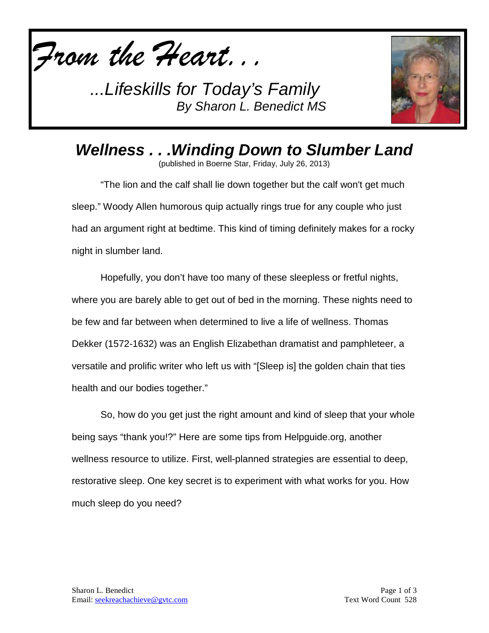

*...Lifeskills for Today's Family By Sharon L. Benedict MS*



*Wellness . . .Winding Down to Slumber Land*

(published in Boerne Star, Friday, July 26, 2013)

"The lion and the calf shall lie down together but the calf won't get much sleep." Woody Allen humorous quip actually rings true for any couple who just had an argument right at bedtime. This kind of timing definitely makes for a rocky night in slumber land.

Hopefully, you don't have too many of these sleepless or fretful nights, where you are barely able to get out of bed in the morning. These nights need to be few and far between when determined to live a life of wellness. Thomas Dekker (1572-1632) was an English Elizabethan dramatist and pamphleteer, a versatile and prolific writer who left us with "[Sleep is] the golden chain that ties health and our bodies together."

So, how do you get just the right amount and kind of sleep that your whole being says "thank you!?" Here are some tips from Helpguide.org, another wellness resource to utilize. First, well-planned strategies are essential to deep, restorative sleep. One key secret is to experiment with what works for you. How much sleep do you need?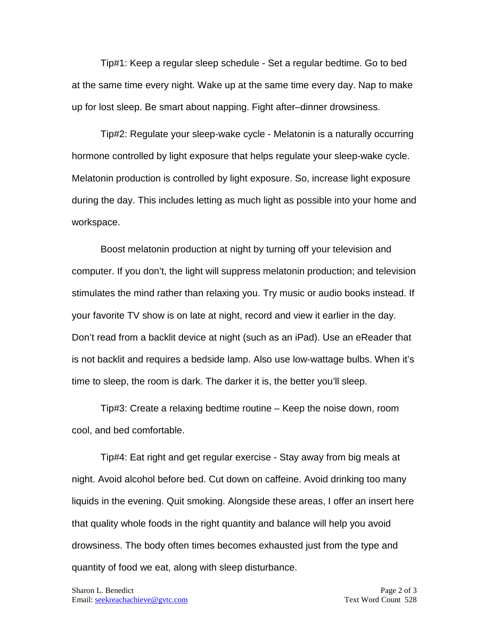Tip#1: Keep a regular sleep schedule - Set a regular bedtime. Go to bed at the same time every night. Wake up at the same time every day. Nap to make up for lost sleep. Be smart about napping. Fight after–dinner drowsiness.

Tip#2: Regulate your sleep-wake cycle - Melatonin is a naturally occurring hormone controlled by light exposure that helps regulate your sleep-wake cycle. Melatonin production is controlled by light exposure. So, increase light exposure during the day. This includes letting as much light as possible into your home and workspace.

Boost melatonin production at night by turning off your television and computer. If you don't, the light will suppress melatonin production; and television stimulates the mind rather than relaxing you. Try music or audio books instead. If your favorite TV show is on late at night, record and view it earlier in the day. Don't read from a backlit device at night (such as an iPad). Use an eReader that is not backlit and requires a bedside lamp. Also use low-wattage bulbs. When it's time to sleep, the room is dark. The darker it is, the better you'll sleep.

Tip#3: Create a relaxing bedtime routine – Keep the noise down, room cool, and bed comfortable.

Tip#4: Eat right and get regular exercise - Stay away from big meals at night. Avoid alcohol before bed. Cut down on caffeine. Avoid drinking too many liquids in the evening. Quit smoking. Alongside these areas, I offer an insert here that quality whole foods in the right quantity and balance will help you avoid drowsiness. The body often times becomes exhausted just from the type and quantity of food we eat, along with sleep disturbance.